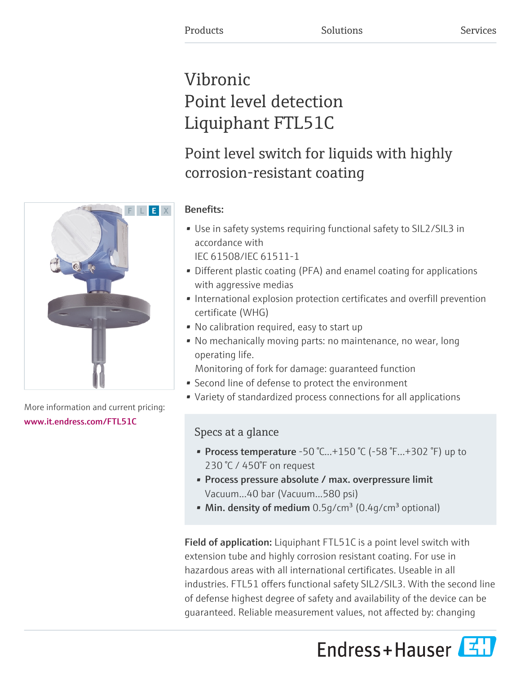# Vibronic Point level detection Liquiphant FTL51C

# Point level switch for liquids with highly corrosion-resistant coating



- Use in safety systems requiring functional safety to SIL2/SIL3 in accordance with IEC 61508/IEC 61511-1
- Different plastic coating (PFA) and enamel coating for applications with aggressive medias
- International explosion protection certificates and overfill prevention certificate (WHG)
- No calibration required, easy to start up
- No mechanically moving parts: no maintenance, no wear, long operating life.
	- Monitoring of fork for damage: guaranteed function
- Second line of defense to protect the environment
- Variety of standardized process connections for all applications

# Specs at a glance

- Process temperature -50 °C...+150 °C (-58 °F...+302 °F) up to 230 °C / 450°F on request
- Process pressure absolute / max. overpressure limit Vacuum...40 bar (Vacuum...580 psi)
- Min. density of medium  $0.5$ g/cm<sup>3</sup> (0.4g/cm<sup>3</sup> optional)

Field of application: Liquiphant FTL51C is a point level switch with extension tube and highly corrosion resistant coating. For use in hazardous areas with all international certificates. Useable in all industries. FTL51 offers functional safety SIL2/SIL3. With the second line of defense highest degree of safety and availability of the device can be guaranteed. Reliable measurement values, not affected by: changing





More information and current pricing: [www.it.endress.com/FTL51C](https://www.it.endress.com/FTL51C)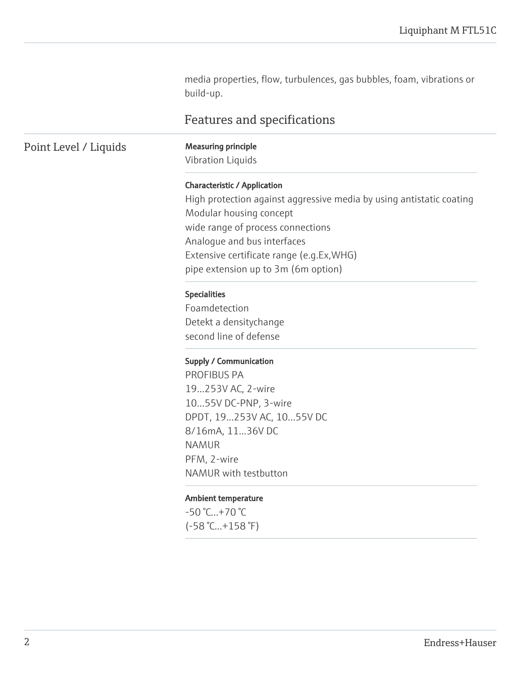media properties, flow, turbulences, gas bubbles, foam, vibrations or build-up.

# Features and specifications

# Point Level / Liquids Measuring principle

Vibration Liquids

#### Characteristic / Application

High protection against aggressive media by using antistatic coating Modular housing concept wide range of process connections Analogue and bus interfaces Extensive certificate range (e.g.Ex,WHG) pipe extension up to 3m (6m option)

#### Specialities

Foamdetection Detekt a densitychange second line of defense

#### Supply / Communication

PROFIBUS PA 19...253V AC, 2-wire 10...55V DC-PNP, 3-wire DPDT, 19...253V AC, 10...55V DC 8/16mA, 11...36V DC NAMUR PFM, 2-wire NAMUR with testbutton

#### Ambient temperature

-50 °C...+70 °C (-58 °C...+158 °F)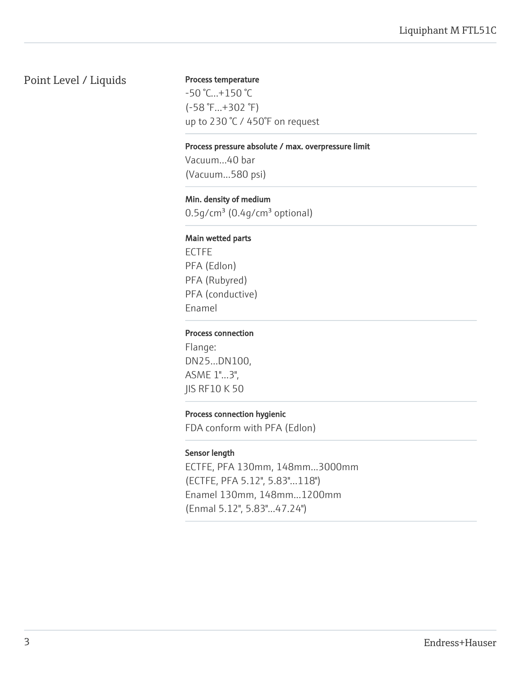# Point Level / Liquids

#### Process temperature

-50 °C...+150 °C (-58 °F...+302 °F) up to 230 °C / 450°F on request

#### Process pressure absolute / max. overpressure limit

Vacuum...40 bar (Vacuum...580 psi)

#### Min. density of medium

0.5g/cm<sup>3</sup> (0.4g/cm<sup>3</sup> optional)

#### Main wetted parts

ECTFE PFA (Edlon) PFA (Rubyred) PFA (conductive) Enamel

#### Process connection

Flange: DN25...DN100, ASME 1"...3", JIS RF10 K 50

#### Process connection hygienic

FDA conform with PFA (Edlon)

#### Sensor length

ECTFE, PFA 130mm, 148mm...3000mm (ECTFE, PFA 5.12", 5.83"...118") Enamel 130mm, 148mm...1200mm (Enmal 5.12", 5.83"...47.24")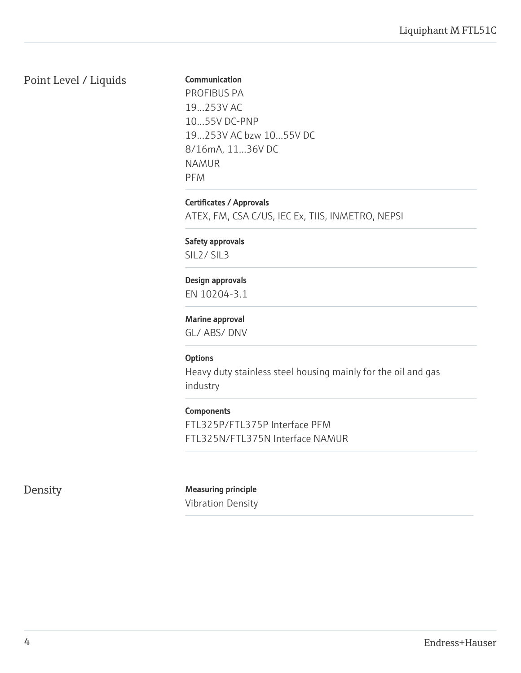# Point Level / Liquids

#### Communication

PROFIBUS PA 19...253V AC 10...55V DC-PNP 19...253V AC bzw 10...55V DC 8/16mA, 11...36V DC NAMUR PFM

Certificates / Approvals

ATEX, FM, CSA C/US, IEC Ex, TIIS, INMETRO, NEPSI

Safety approvals SIL2/ SIL3

Design approvals

EN 10204-3.1

Marine approval

GL/ ABS/ DNV

#### **Options**

Heavy duty stainless steel housing mainly for the oil and gas industry

#### Components

FTL325P/FTL375P Interface PFM FTL325N/FTL375N Interface NAMUR

### Density Measuring principle

Vibration Density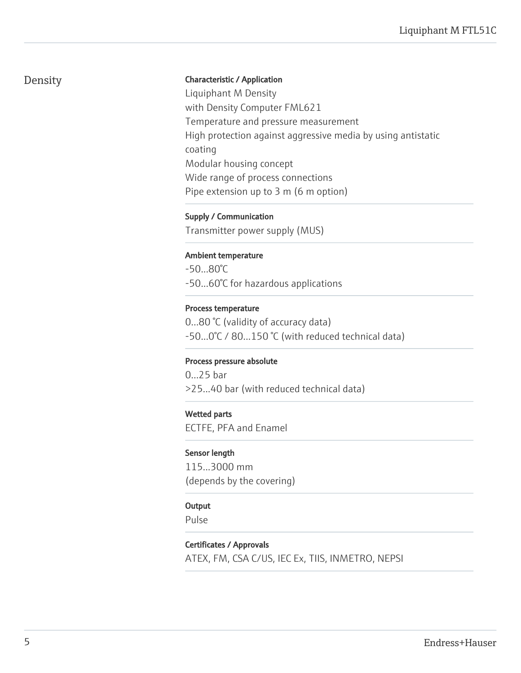# Density

#### Characteristic / Application

Liquiphant M Density with Density Computer FML621 Temperature and pressure measurement High protection against aggressive media by using antistatic coating Modular housing concept Wide range of process connections Pipe extension up to 3 m (6 m option)

Supply / Communication

Transmitter power supply (MUS)

#### Ambient temperature

-50...80°C -50...60°C for hazardous applications

#### Process temperature

0...80 °C (validity of accuracy data) -50...0°C / 80...150 °C (with reduced technical data)

#### Process pressure absolute

0...25 bar >25...40 bar (with reduced technical data)

#### Wetted parts

ECTFE, PFA and Enamel

#### Sensor length

115...3000 mm (depends by the covering)

#### **Output**

Pulse

#### Certificates / Approvals

ATEX, FM, CSA C/US, IEC Ex, TIIS, INMETRO, NEPSI